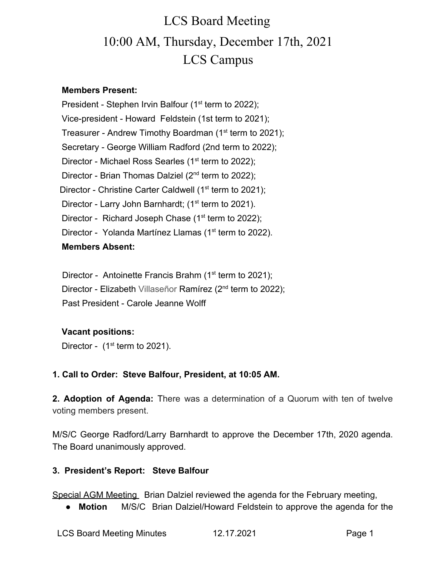# LCS Board Meeting 10:00 AM, Thursday, December 17th, 2021 LCS Campus

### **Members Present:**

President - Stephen Irvin Balfour (1<sup>st</sup> term to 2022); Vice-president - Howard Feldstein (1st term to 2021); Treasurer - Andrew Timothy Boardman (1<sup>st</sup> term to 2021); Secretary - George William Radford (2nd term to 2022); Director - Michael Ross Searles (1<sup>st</sup> term to 2022); Director - Brian Thomas Dalziel (2<sup>nd</sup> term to 2022); Director - Christine Carter Caldwell ( $1<sup>st</sup>$  term to 2021); Director - Larry John Barnhardt; (1<sup>st</sup> term to 2021). Director - Richard Joseph Chase  $(1<sup>st</sup>$  term to 2022); Director - Yolanda Martínez Llamas (1<sup>st</sup> term to 2022). **Members Absent:**

Director - Antoinette Francis Brahm (1<sup>st</sup> term to 2021); Director - Elizabeth Villaseñor Ramírez (2<sup>nd</sup> term to 2022); Past President - Carole Jeanne Wolff

### **Vacant positions:**

Director -  $(1<sup>st</sup>$  term to 2021).

### **1. Call to Order: Steve Balfour, President, at 10:05 AM.**

**2. Adoption of Agenda:** There was a determination of a Quorum with ten of twelve voting members present.

M/S/C George Radford/Larry Barnhardt to approve the December 17th, 2020 agenda. The Board unanimously approved.

### **3. President's Report: Steve Balfour**

Special AGM Meeting Brian Dalziel reviewed the agenda for the February meeting,

● **Motion** M/S/C Brian Dalziel/Howard Feldstein to approve the agenda for the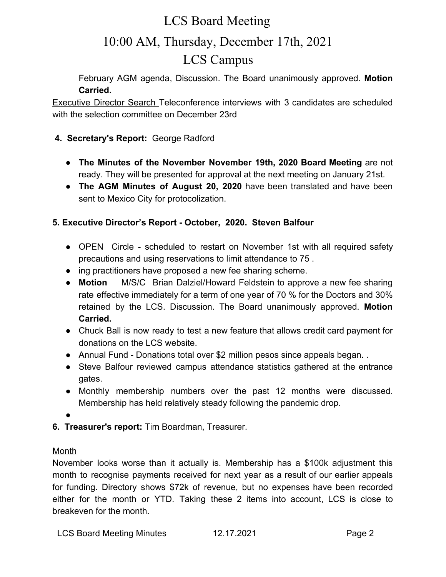### LCS Board Meeting

## 10:00 AM, Thursday, December 17th, 2021 LCS Campus

February AGM agenda, Discussion. The Board unanimously approved. **Motion Carried.**

Executive Director Search Teleconference interviews with 3 candidates are scheduled with the selection committee on December 23rd

### **4. Secretary's Report:** George Radford

- **The Minutes of the November November 19th, 2020 Board Meeting** are not ready. They will be presented for approval at the next meeting on January 21st.
- **The AGM Minutes of August 20, 2020** have been translated and have been sent to Mexico City for protocolization.

### **5. Executive Director's Report - October, 2020. Steven Balfour**

- OPEN Circle scheduled to restart on November 1st with all required safety precautions and using reservations to limit attendance to 75 .
- ing practitioners have proposed a new fee sharing scheme.
- **Motion** M/S/C Brian Dalziel/Howard Feldstein to approve a new fee sharing rate effective immediately for a term of one year of 70 % for the Doctors and 30% retained by the LCS. Discussion. The Board unanimously approved. **Motion Carried.**
- **●** Chuck Ball is now ready to test a new feature that allows credit card payment for donations on the LCS website.
- Annual Fund Donations total over \$2 million pesos since appeals began...
- Steve Balfour reviewed campus attendance statistics gathered at the entrance gates.
- Monthly membership numbers over the past 12 months were discussed. Membership has held relatively steady following the pandemic drop.

●

**6. Treasurer's report:** Tim Boardman, Treasurer.

### Month

November looks worse than it actually is. Membership has a \$100k adjustment this month to recognise payments received for next year as a result of our earlier appeals for funding. Directory shows \$72k of revenue, but no expenses have been recorded either for the month or YTD. Taking these 2 items into account, LCS is close to breakeven for the month.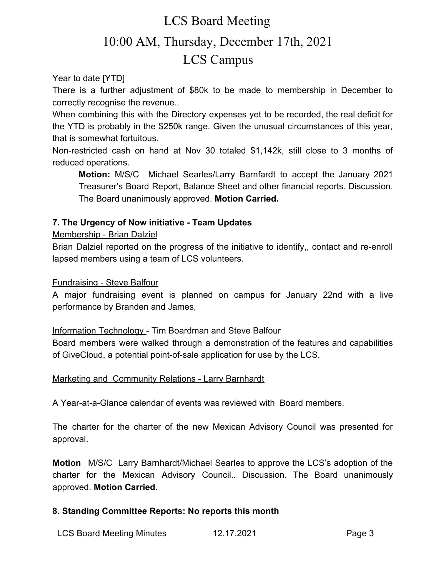# LCS Board Meeting 10:00 AM, Thursday, December 17th, 2021 LCS Campus

Year to date [YTD]

There is a further adjustment of \$80k to be made to membership in December to correctly recognise the revenue..

When combining this with the Directory expenses yet to be recorded, the real deficit for the YTD is probably in the \$250k range. Given the unusual circumstances of this year, that is somewhat fortuitous.

Non-restricted cash on hand at Nov 30 totaled \$1,142k, still close to 3 months of reduced operations.

**Motion:** M/S/C Michael Searles/Larry Barnfardt to accept the January 2021 Treasurer's Board Report, Balance Sheet and other financial reports. Discussion. The Board unanimously approved. **Motion Carried.**

### **7. The Urgency of Now initiative - Team Updates**

### Membership - Brian Dalziel

Brian Dalziel reported on the progress of the initiative to identify,, contact and re-enroll lapsed members using a team of LCS volunteers.

### Fundraising - Steve Balfour

A major fundraising event is planned on campus for January 22nd with a live performance by Branden and James,

### Information Technology - Tim Boardman and Steve Balfour

Board members were walked through a demonstration of the features and capabilities of GiveCloud, a potential point-of-sale application for use by the LCS.

### Marketing and Community Relations - Larry Barnhardt

A Year-at-a-Glance calendar of events was reviewed with Board members.

The charter for the charter of the new Mexican Advisory Council was presented for approval.

**Motion** M/S/C Larry Barnhardt/Michael Searles to approve the LCS's adoption of the charter for the Mexican Advisory Council.. Discussion. The Board unanimously approved. **Motion Carried.**

### **8. Standing Committee Reports: No reports this month**

LCS Board Meeting Minutes 12.17.2021 Page 3